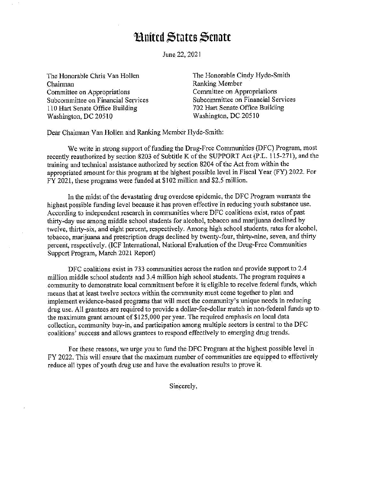## **Hnited States Senate**

June 22, 2021

The Honorable Chris Van Hollen Chairman Committee on Appropriations Subcommittee on Financial Services 110 Hart Senate Office Building Washington, DC 20510

The Honorable Cindy Hyde-Smith Ranking Member Committee on Appropriations Subcommittee on Financial Services 702 Hart Senate Office Building Washington, DC 20510

Dear Chairman Van Hollen and Ranking Member Hyde-Smith:

We write in strong support of funding the Drug-Free Communities (DFC) Program, most recently reauthorized by section 8203 of Subtitle K of the SUPPORT Act (P.L. 115-271 ), and the training and technical assistance authorized by section 8204 of the Act from within the appropriated amount for this program at the highest possible level in Fiscal Year (FY) 2022. For FY 2021, these programs were funded at \$102 million and \$2.5 million.

In the midst of the devastating drug overdose epidemic, the DFC Program warrants the highest possible funding level because it has proven effective in reducing youth substance use. According to independent research in communities where DFC coalitions exist, rates of past thirty-day use among middle school students for alcohol, tobacco and marijuana declined by twelve, thirty-six, and eight percent, respectively. Among high school students, rates for alcohol, tobacco, marijuana and prescription drugs declined by twenty-four, thirty-nine, seven, and thirty percent, respectively. (ICF International, National Evaluation of the Drug-Free Communities Support Program, March 2021 Report)

DFC coalitions exist in 733 communities across the nation and provide support to 2.4 million middle school students and 3.4 million high school students. The program requires a community to demonstrate local commitment before it is eligible to receive federal funds, which means that at least twelve sectors within the community must come together to plan and implement evidence-based programs that will meet the community's unique needs in reducing drug use. All grantees are required to provide a dollar-for-dollar match in non-federal funds up to the maximum grant amount of \$125,000 per year. The required emphasis on local data collection, community buy-in, and participation among multiple sectors is central to the DFC coalitions' success and allows grantees to respond effectively to emerging drug trends.

For these reasons, we urge you to fund the DFC Program at the highest possible level in FY 2022. This will ensure that the maximum number of communities are equipped to effectively reduce all types of youth drug use and have the evaluation results to prove it.

Sincerely,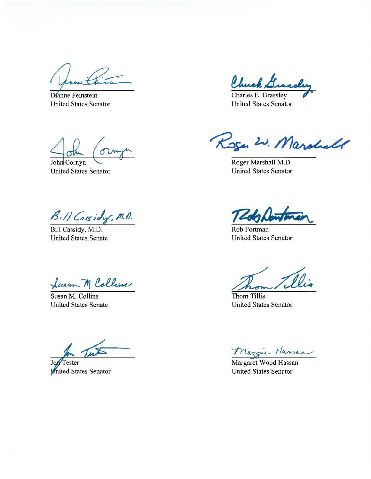Dianne Feinstein **United States Senator** 

Chuck.

Charles E. Grassley **United States Senator** 

John Cornyn **United States Senator** 

Bill Cassidy, M.D.

Bill Cassidy, M.D. **United States Senate** 

Swan M Collins

Susan M. Collins **United States Senate** 

Test

Tester Jo United States Senator

Koger W. Marshall

Roger Marshall M.D. **United States Senator** 

Rob Portman **United States Senator** 

Thom Tillis **United States Senator** 

Mazzie Hassan

**United States Senator**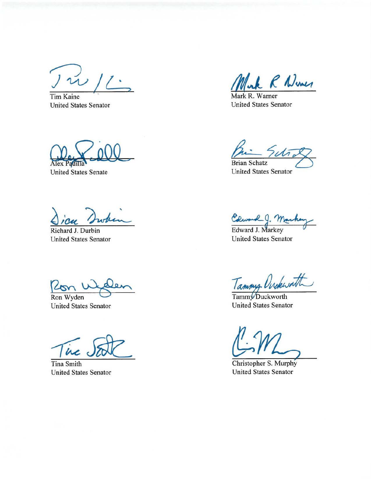$\frac{1}{2}$ 

Tim Kaine United States Senator

Alex Padulla

United States Senate

Richard J. Durbin United States Senator

 $\frac{1}{\sqrt{2}}$  Ron Wyden

United States Senator

ine

Tina Smith United States Senator

*/111.J\_ f* i.J~

Mark R. Warner United States Senator

Brian Schatz United States Senator

Edward J. Markey<br>Edward J. Markey<br>United States Senator

Tammy Unckwath

Tammy Duckworth United States Senator

Christopher S. Murphy United States Senator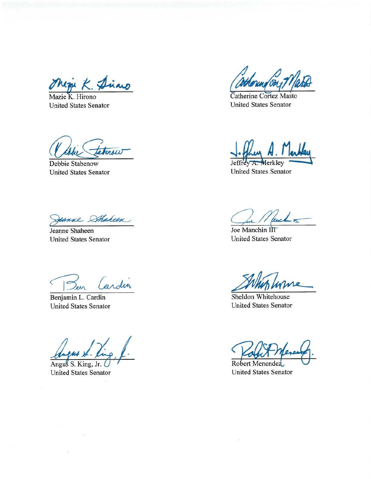**~'b':** *K.~AA.()* 

Mazie K. Hirono United States Senator

Cabie Faters

United States Senator

eanne Sthaheen

Jeanne Shaheen United States Senator

 $\overline{C}$ ardin Sen

Benjamin L. Cardin United States Senator

Angus S. King, Jr. United States Senator

 $\mathbb{R}$ 

Catherine Contez Matio

Catherine Cortez Masto United States Senator

Jeffrey A. Merkley United States Senator

Low

Joe Manchin I United States Senator

Joe Manchin IIT<br>United States Senator<br>Sheldon Whitehouse<br>United States Senator

United States Senator

Robert Menendez United States Senator